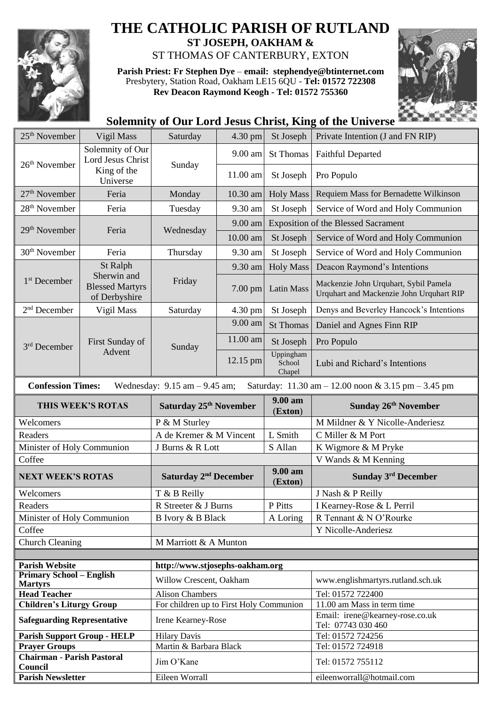

## **THE CATHOLIC PARISH OF RUTLAND**

**ST JOSEPH, OAKHAM &**  ST THOMAS OF CANTERBURY, EXTON

**Parish Priest: Fr Stephen Dye** – **[email: stephendye@btinternet.com](mailto:email:%20%20stephendye@btinternet.com)** Presbytery, Station Road, Oakham LE15 6QU - **Tel: 01572 722308 Rev Deacon Raymond Keogh - Tel: 01572 755360**



## **Solemnity of Our Lord Jesus Christ, King of the Universe**

| 25 <sup>th</sup> November                                                                                                                               | Vigil Mass                                             | Saturday                                | 4.30 pm  | St Joseph                     | Private Intention (J and FN RIP)                                                  |  |  |  |
|---------------------------------------------------------------------------------------------------------------------------------------------------------|--------------------------------------------------------|-----------------------------------------|----------|-------------------------------|-----------------------------------------------------------------------------------|--|--|--|
| 26 <sup>th</sup> November                                                                                                                               | Solemnity of Our<br><b>Lord Jesus Christ</b>           | Sunday                                  | 9.00 am  | <b>St Thomas</b>              | <b>Faithful Departed</b>                                                          |  |  |  |
|                                                                                                                                                         | King of the<br>Universe                                |                                         | 11.00 am | St Joseph                     | Pro Populo                                                                        |  |  |  |
| 27 <sup>th</sup> November                                                                                                                               | Feria                                                  | Monday                                  | 10.30 am | <b>Holy Mass</b>              | Requiem Mass for Bernadette Wilkinson                                             |  |  |  |
| 28 <sup>th</sup> November                                                                                                                               | Feria                                                  | Tuesday                                 | 9.30 am  | St Joseph                     | Service of Word and Holy Communion                                                |  |  |  |
|                                                                                                                                                         |                                                        |                                         | 9.00 am  |                               | <b>Exposition of the Blessed Sacrament</b>                                        |  |  |  |
| 29 <sup>th</sup> November                                                                                                                               | Feria                                                  | Wednesday                               | 10.00 am | St Joseph                     | Service of Word and Holy Communion                                                |  |  |  |
| 30 <sup>th</sup> November                                                                                                                               | Feria                                                  | Thursday                                | 9.30 am  | St Joseph                     | Service of Word and Holy Communion                                                |  |  |  |
|                                                                                                                                                         | St Ralph                                               | Friday                                  | 9.30 am  | <b>Holy Mass</b>              | Deacon Raymond's Intentions                                                       |  |  |  |
| 1 <sup>st</sup> December                                                                                                                                | Sherwin and<br><b>Blessed Martyrs</b><br>of Derbyshire |                                         | 7.00 pm  | Latin Mass                    | Mackenzie John Urquhart, Sybil Pamela<br>Urquhart and Mackenzie John Urquhart RIP |  |  |  |
| $2nd$ December                                                                                                                                          | Vigil Mass                                             | Saturday                                | 4.30 pm  | St Joseph                     | Denys and Beverley Hancock's Intentions                                           |  |  |  |
|                                                                                                                                                         |                                                        |                                         | 9.00 am  | <b>St Thomas</b>              | Daniel and Agnes Finn RIP                                                         |  |  |  |
| 3 <sup>rd</sup> December                                                                                                                                | First Sunday of<br>Advent                              | Sunday                                  | 11.00 am | St Joseph                     | Pro Populo                                                                        |  |  |  |
|                                                                                                                                                         |                                                        |                                         | 12.15 pm | Uppingham<br>School<br>Chapel | Lubi and Richard's Intentions                                                     |  |  |  |
| <b>Confession Times:</b><br>Wednesday: $9.15$ am $- 9.45$ am;<br>Saturday: $11.30 \text{ am} - 12.00 \text{ noon} \& 3.15 \text{ pm} - 3.45 \text{ pm}$ |                                                        |                                         |          |                               |                                                                                   |  |  |  |
| THIS WEEK'S ROTAS                                                                                                                                       |                                                        | Saturday 25 <sup>th</sup> November      |          |                               | Sunday 26th November                                                              |  |  |  |
|                                                                                                                                                         |                                                        |                                         |          | 9.00 am<br>(Exton)            |                                                                                   |  |  |  |
| Welcomers                                                                                                                                               |                                                        | P & M Sturley                           |          |                               | M Mildner & Y Nicolle-Anderiesz                                                   |  |  |  |
| Readers                                                                                                                                                 |                                                        | A de Kremer & M Vincent                 |          | L Smith                       | C Miller & M Port                                                                 |  |  |  |
| Minister of Holy Communion                                                                                                                              |                                                        | J Burns & R Lott                        |          | S Allan                       | K Wigmore & M Pryke                                                               |  |  |  |
| Coffee                                                                                                                                                  |                                                        |                                         |          |                               | V Wands & M Kenning                                                               |  |  |  |
| <b>NEXT WEEK'S ROTAS</b>                                                                                                                                |                                                        | Saturday 2 <sup>nd</sup> December       |          | 9.00 am<br>(Exton)            | <b>Sunday 3rd December</b>                                                        |  |  |  |
| Welcomers                                                                                                                                               |                                                        | T & B Reilly                            |          |                               | J Nash & P Reilly                                                                 |  |  |  |
| Readers                                                                                                                                                 |                                                        | R Streeter & J Burns                    |          | P Pitts                       | I Kearney-Rose & L Perril                                                         |  |  |  |
| Minister of Holy Communion                                                                                                                              |                                                        | B Ivory & B Black                       |          | A Loring                      | R Tennant & N O'Rourke                                                            |  |  |  |
| Coffee                                                                                                                                                  |                                                        |                                         |          |                               | Y Nicolle-Anderiesz                                                               |  |  |  |
| <b>Church Cleaning</b>                                                                                                                                  |                                                        | M Marriott & A Munton                   |          |                               |                                                                                   |  |  |  |
|                                                                                                                                                         |                                                        |                                         |          |                               |                                                                                   |  |  |  |
| <b>Parish Website</b>                                                                                                                                   |                                                        | http://www.stjosephs-oakham.org         |          |                               |                                                                                   |  |  |  |
| <b>Primary School - English</b><br><b>Martyrs</b>                                                                                                       |                                                        | Willow Crescent, Oakham                 |          |                               | www.englishmartyrs.rutland.sch.uk                                                 |  |  |  |
| <b>Head Teacher</b>                                                                                                                                     |                                                        | <b>Alison Chambers</b>                  |          |                               | Tel: 01572 722400                                                                 |  |  |  |
| <b>Children's Liturgy Group</b>                                                                                                                         |                                                        | For children up to First Holy Communion |          |                               | 11.00 am Mass in term time                                                        |  |  |  |
| <b>Safeguarding Representative</b>                                                                                                                      |                                                        | Irene Kearney-Rose                      |          |                               | Email: irene@kearney-rose.co.uk<br>Tel: 07743 030 460                             |  |  |  |
| <b>Parish Support Group - HELP</b>                                                                                                                      |                                                        | <b>Hilary Davis</b>                     |          |                               | Tel: 01572 724256                                                                 |  |  |  |
| <b>Prayer Groups</b>                                                                                                                                    |                                                        | Martin & Barbara Black                  |          |                               | Tel: 01572 724918                                                                 |  |  |  |
| Chairman - Parish Pastoral<br>Council                                                                                                                   |                                                        | Jim O'Kane                              |          |                               | Tel: 01572 755112                                                                 |  |  |  |